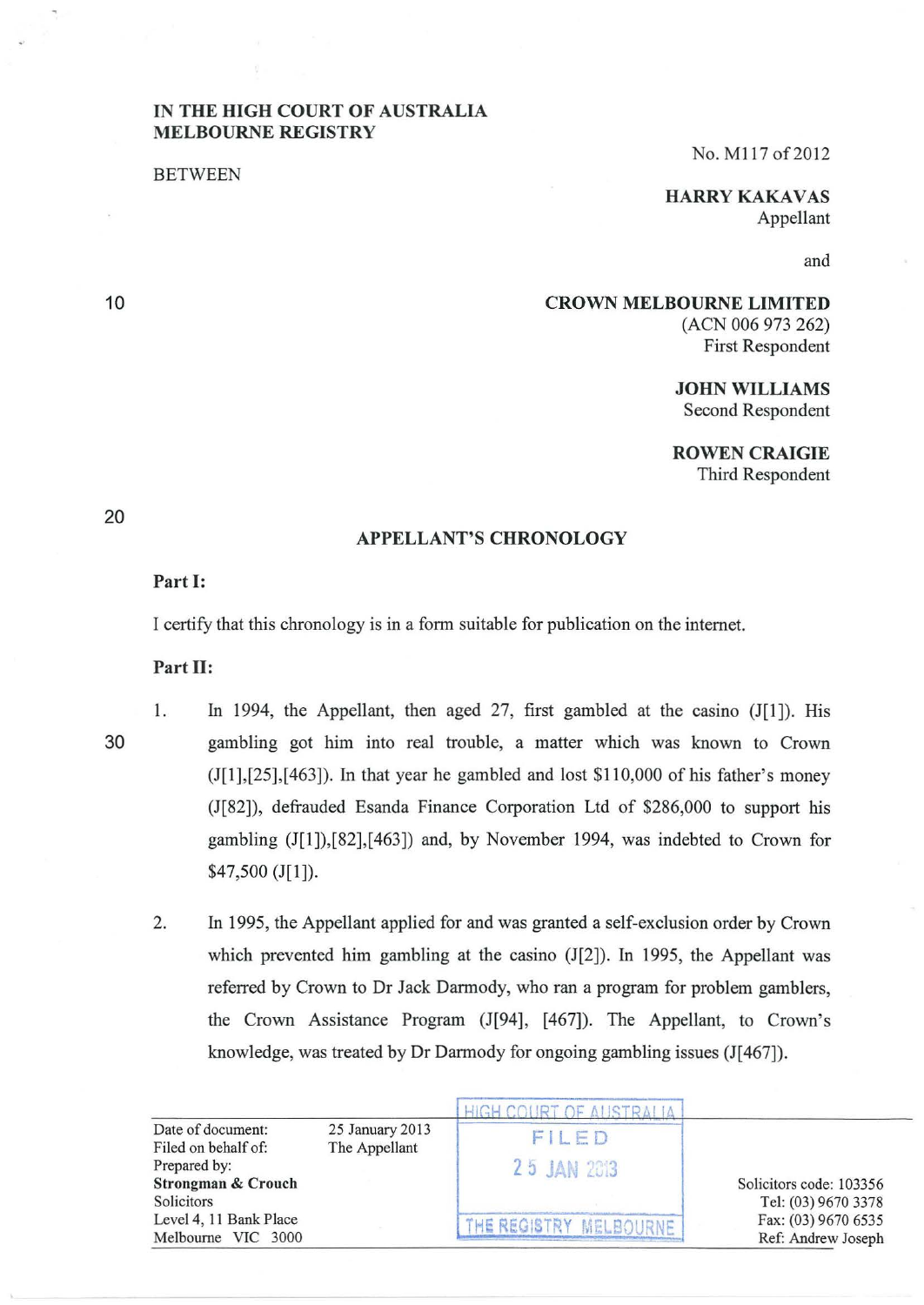## IN THE HIGH COURT OF AUSTRALIA MELBOURNE REGISTRY

BETWEEN

No. M117 of 2012

**HARRY KAKAVAS** Appellant

and

### CROWN MELBOURNE LIMITED (ACN 006 973 262) First Respondent

JOHN WILLIAMS Second Respondent

ROWEN CRAIGIE

Third Respondent

# 20

10

## APPELLANT'S CHRONOLOGY

#### Part I:

I certify that this chronology is in a form suitable for publication on the internet.

#### Part II:

30

1. In 1994, the Appellant, then aged 27, first gambled at the casino (J[1]). His gambling got him into real trouble, a matter which was known to Crown  $(I[1],[25],[463])$ . In that year he gambled and lost \$110,000 of his father's money (1[82]), defrauded Esanda Finance Corporation Ltd of \$286,000 to support his gambling (1[1]),[82],[463]) and, by November 1994, was indebted to Crown for \$47,500 (J[l]).

2. In 1995, the Appellant applied for and was granted a self-exclusion order by Crown which prevented him gambling at the casino (J[2]). In 1995, the Appellant was referred by Crown to Dr Jack Darmody, who ran a program for problem gamblers, the Crown Assistance Program (1[94], [467]). The Appellant, to Crown's knowledge, was treated by Dr Darmody for ongoing gambling issues (J[467]).

| Date of document:<br>Filed on behalf of:                    | 25 January 2013<br>The Appellant | FILED                  | Solicitors code: 103356<br>Tel: (03) 9670 3378<br>Fax: (03) 9670 6535<br>Ref: Andrew Joseph |
|-------------------------------------------------------------|----------------------------------|------------------------|---------------------------------------------------------------------------------------------|
| Prepared by:<br><b>Strongman &amp; Crouch</b><br>Solicitors |                                  | 25 JAN 2013            |                                                                                             |
| Level 4, 11 Bank Place<br>Melbourne VIC 3000                |                                  | THE REGISTRY MELBOURNE |                                                                                             |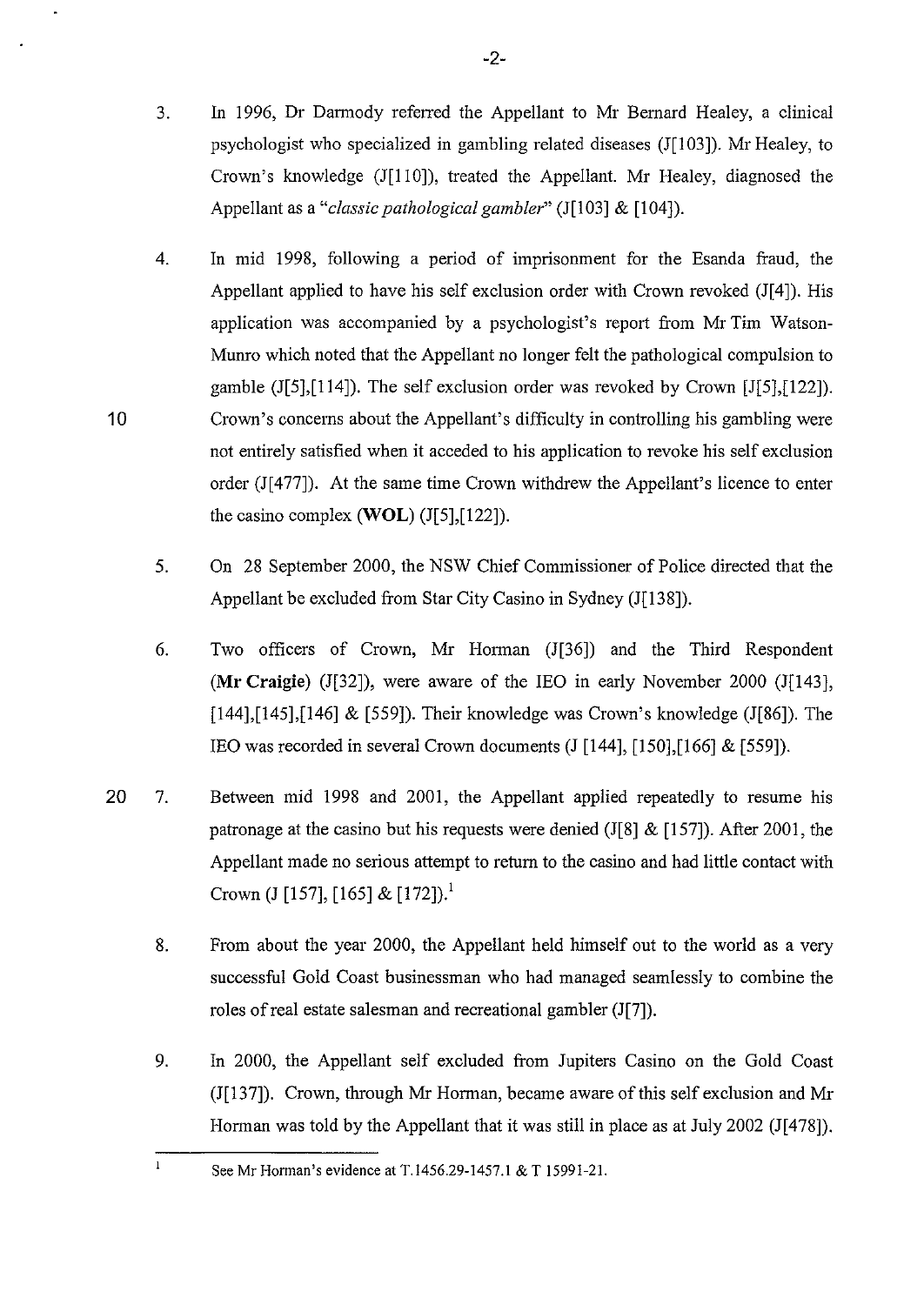- 3. In 1996, Dr Darmody referred the Appellant to Mr Bernard Healey, a clinical psychologist who specialized in gambling related diseases (J[103]). Mr Healey, to Crown's knowledge (J[110]), treated the Appellant. Mr Healey, diagnosed the Appellant as a *"classic pathological gambler"* (J[l03] & [104]).
- 4. In mid 1998, following a period of imprisonment for the Esanda fraud, the Appellant applied to have his self exclusion order with Crown revoked (J[4]). His application was accompanied by a psychologist's report from Mr Tim Watson-Munro which noted that the Appellant no longer felt the pathological compulsion to gamble (J[5],[114]). The self exclusion order was revoked by Crown [J[5],[122]). Crown's concems about the Appellant's difficulty in controlling his gambling were not entirely satisfied when it acceded to his application to revoke his self exclusion order (J[477]). At the same time Crown withdrew the Appellant's licence to enter the casino complex **(WOL)** (J[5],[122]).
- 5. On 28 September 2000, the NSW Chief Commissioner of Police directed that the Appellant be excluded from Star City Casino in Sydney (J[138]).
- 6. Two officers of Crown, Mr Horman (J[36]) and the Third Respondent **(Mr Craigie)** (J[32]), were aware of the lEO in early November 2000 (J[143], [144],[145],[146] & [559]). Their knowledge was Crown's knowledge (J[86]). The IEO was recorded in several Crown documents  $(J[144], [150], [166] \& [559])$ .
- 20 7. Between mid 1998 and 2001, the Appellant applied repeatedly to resume his patronage at the casino but his requests were denied (J[8] & [157]). After 2001, the Appellant made no serious attempt to return to the casino and had little contact with Crown (J [157], [165] & [172]).<sup>1</sup>
	- 8. From about the year 2000, the Appellant held himself out to the world as a very successful Gold Coast businessman who had managed seamlessly to combine the roles of real estate salesman and recreational gambler (J[7]).
	- 9. In 2000, the Appellant self excluded from Jupiters Casino on the Gold Coast (J[l37]). Crown, through Mr Horman, became aware of this self exclusion and Mr Horman was told by the Appellant that it was still in place as at July 2002 (J[478]).

See Mr Horman's evidence at T.1456.29-1457.1 & T 15991-21.

10

 $\mathbf{1}$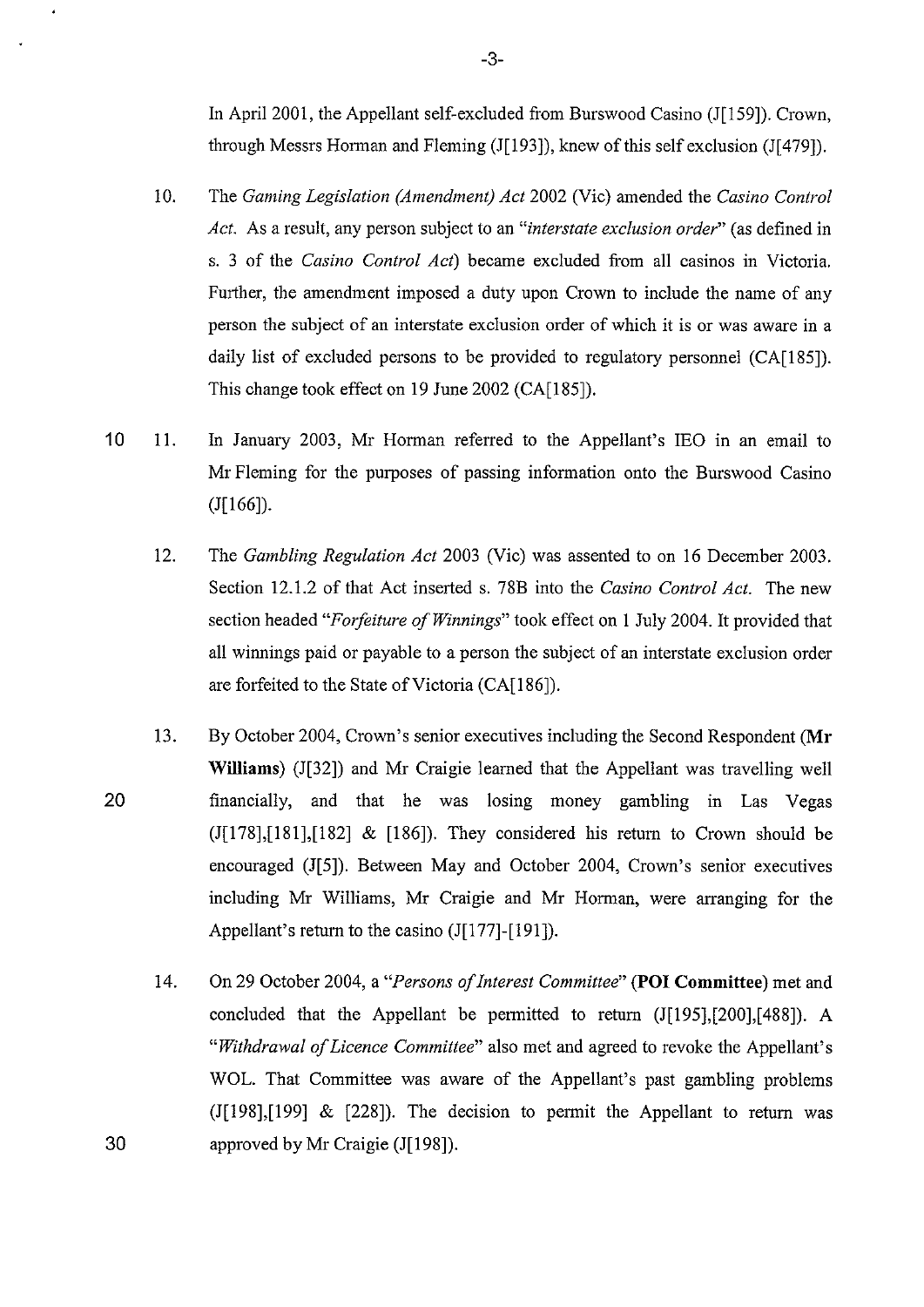In April 2001, the Appellant self-excluded from Burswood Casino (J[159]). Crown, through Messrs Horman and Fleming (J[l93]), knew of this self exclusion (J[479]).

- 10. The *Gaming Legislation (Amendment) Act* 2002 (Vic) amended the *Casino Control Act.* As a result, any person subject to an *"interstate exclusion order"* (as defined in s. 3 of the *Casino Control Act)* became excluded from all casinos in Victoria. Further, the amendment imposed a duty upon Crown to include the name of any person the subject of an interstate exclusion order of which it is or was aware in a daily list of excluded persons to be provided to regulatory personnel (CA[185]). This change took effect on 19 June 2002 (CA[185]).
- 10 II. In January 2003, Mr Horman referred to the Appellant's lEO in an email to Mr Fleming for the purposes of passing information onto the Burswood Casino  $(J[166]).$ 
	- 12. The *Gambling Regulation Act* 2003 (Vic) was assented to on 16 December 2003. Section 12.1.2 of that Act inserted s. 78B into the *Casino Control Act.* The new section headed *"Forfeiture of Winnings"* took effect on 1 July 2004. It provided that all winnings paid or payable to a person the subject of an interstate exclusion order are forfeited to the State of Victoria (CA[186]).
- 20 13. By October 2004, Crown's senior executives including the Second Respondent **(Mr Williams)** (J[32]) and Mr Craigie learned that the Appellant was travelling well financially, and that he was losing money gambling in Las Vegas  $(J[178],[181],[182]$  &  $[186]$ . They considered his return to Crown should be encouraged (J[S]). Between May and October 2004, Crown's senior executives including Mr Williams, Mr Craigie and Mr Horman, were arranging for the Appellant's return to the casino  $(J[177]-[191])$ .
	- 14. On 29 October 2004, a *"Persons of Interest Committee"* **(POI Committee)** met and concluded that the Appellant be permitted to return  $(J[195],[200],[488])$ . A *"Withdrawal of Licence Committee"* also met and agreed to revoke the Appellant's WOL. That Committee was aware of the Appellant's past gambling problems  $(I[198],[199]$  &  $[228]$ ). The decision to permit the Appellant to return was approved by Mr Craigie (J[l98]).

30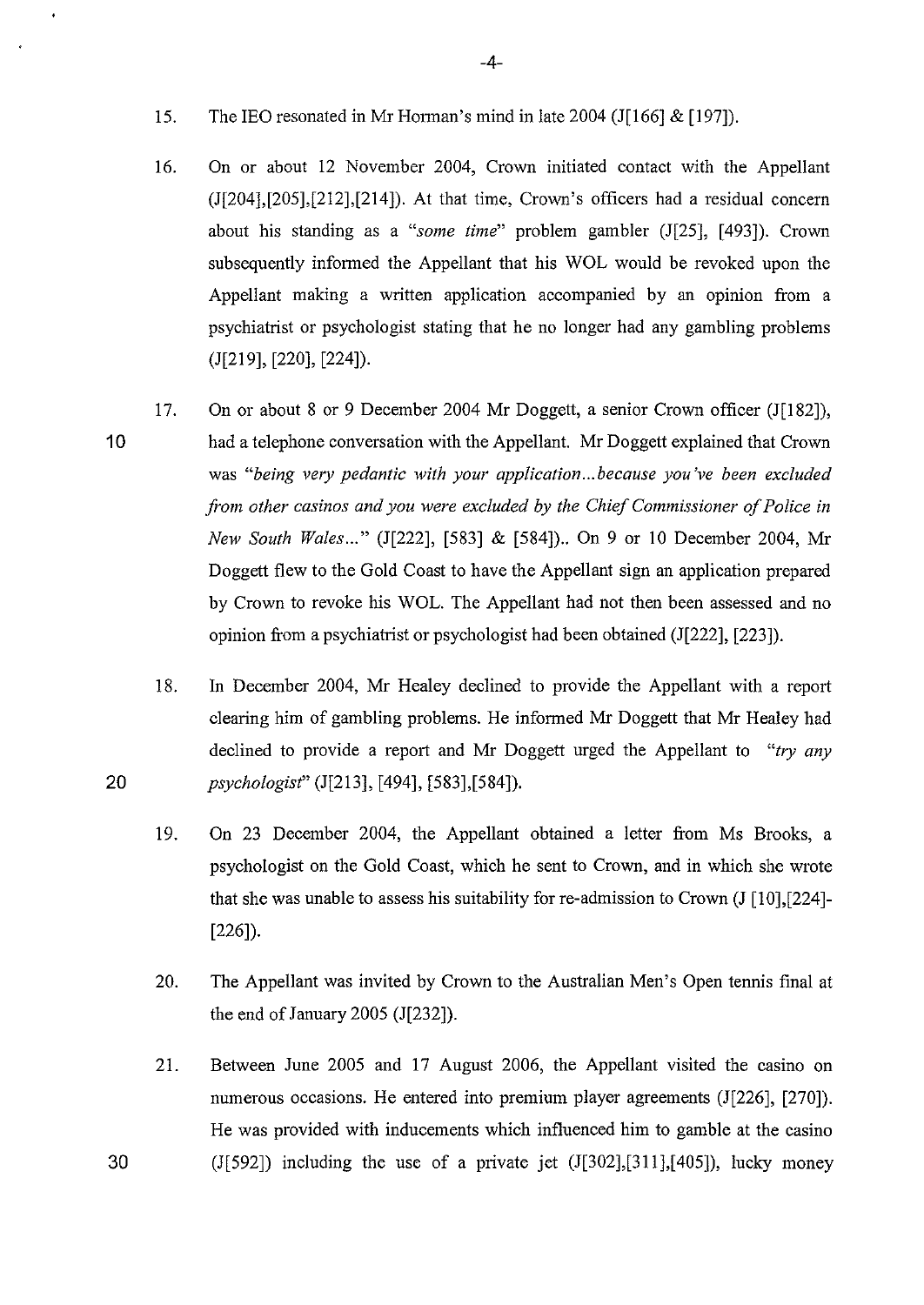- 15. The lEO resonated in Mr Horman's mind in late 2004 (J[166] & [197]).
- 16. On or about 12 November 2004, Crown initiated contact with the Appellant (J[204],[205],[212],[214]). At that time, Crown's officers had a residual concern about his standing as a *"some time"* problem gambler (J[25], [ 493]). Crown subsequently informed the Appellant that his WOL would be revoked upon the Appellant making a written application accompanied by an opinion from a psychiatrist or psychologist stating that he no longer had any gambling problems (J[219], [220], [224]).
- 10 17. On or about 8 or 9 December 2004 Mr Doggett, a senior Crown officer (J[l82]), had a telephone conversation with the Appellant. Mr Doggett explained that Crown was "being very pedantic with your application... because you've been excluded *ji-mn other casinos and you were excluded by the Chief Commissioner of Police in New South Wales ... "* (J[222], [583] & [584]) .. On 9 or 10 December 2004, Mr Doggett flew to the Gold Coast to have the Appellant sign an application prepared by Crown to revoke his WOL. The Appellant had not then been assessed and no opinion from a psychiatrist or psychologist had been obtained (J[222], [223]).
- 18. In December 2004, Mr Healey declined to provide the Appellant with a report clearing him of gambling problems. He informed Mr Doggett that Mr Healey had declined to provide a report and Mr Doggett urged the Appellant to *"try any* 20 *psychologist"* (J[213], [494], [583],[584]).
	- 19. On 23 December 2004, the Appellant obtained a letter from Ms Brooks, a psychologist on the Gold Coast, which he sent to Crown, and in which she wrote that she was unable to assess his suitability for re-admission to Crown  $(J \mid 10]$ , [224]-[226]).
	- 20. The Appellant was invited by Crown to the Australian Men's Open tennis final at the end of January 2005 (J[232]).
- 21. Between June 2005 and 17 August 2006, the Appellant visited the casino on numerous occasions. He entered into premium player agreements (J[226], [270]). He was provided with inducements which influenced him to gamble at the casino 30 (J[592]) including the use of a private jet (J[302],[311],[405]), lucky money

-4-